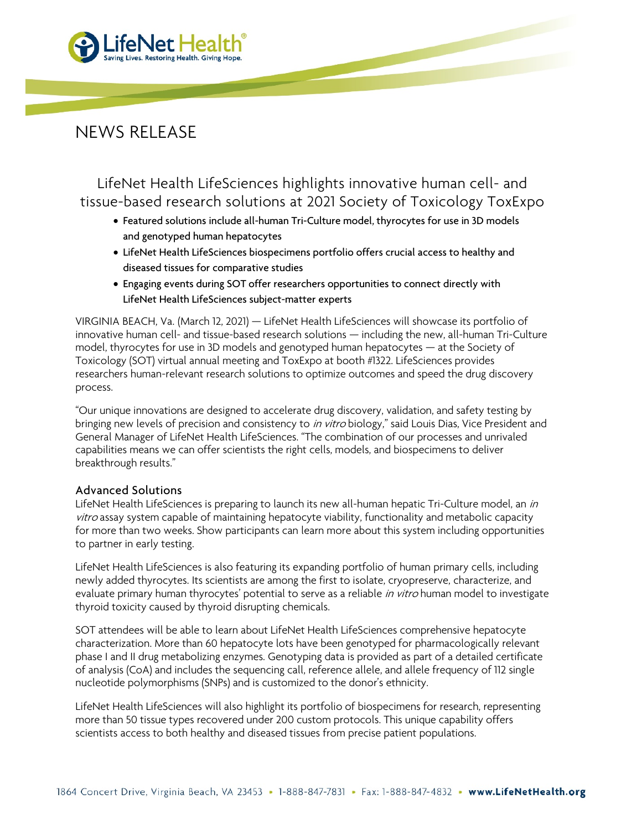

## NEWS RELEASE

LifeNet Health LifeSciences highlights innovative human cell- and tissue-based research solutions at 2021 Society of Toxicology ToxExpo

- Featured solutions include all-human Tri-Culture model, thyrocytes for use in 3D models and genotyped human hepatocytes
- LifeNet Health LifeSciences biospecimens portfolio offers crucial access to healthy and diseased tissues for comparative studies
- Engaging events during SOT offer researchers opportunities to connect directly with LifeNet Health LifeSciences subject-matter experts

VIRGINIA BEACH, Va. (March 12, 2021) — LifeNet Health LifeSciences will showcase its portfolio of innovative human cell- and tissue-based research solutions — including the new, all-human Tri-Culture model, thyrocytes for use in 3D models and genotyped human hepatocytes — at the Society of Toxicology (SOT) virtual annual meeting and ToxExpo at booth #1322. LifeSciences provides researchers human-relevant research solutions to optimize outcomes and speed the drug discovery process.

"Our unique innovations are designed to accelerate drug discovery, validation, and safety testing by bringing new levels of precision and consistency to *in vitro* biology," said Louis Dias, Vice President and General Manager of LifeNet Health LifeSciences. "The combination of our processes and unrivaled capabilities means we can offer scientists the right cells, models, and biospecimens to deliver breakthrough results."

## Advanced Solutions

LifeNet Health LifeSciences is preparing to launch its new all-human hepatic Tri-Culture model, an in vitro assay system capable of maintaining hepatocyte viability, functionality and metabolic capacity for more than two weeks. Show participants can learn more about this system including opportunities to partner in early testing.

LifeNet Health LifeSciences is also featuring its expanding portfolio of human primary cells, including newly added thyrocytes. Its scientists are among the first to isolate, cryopreserve, characterize, and evaluate primary human thyrocytes' potential to serve as a reliable in vitro human model to investigate thyroid toxicity caused by thyroid disrupting chemicals.

SOT attendees will be able to learn about LifeNet Health LifeSciences comprehensive hepatocyte characterization. More than 60 hepatocyte lots have been genotyped for pharmacologically relevant phase I and II drug metabolizing enzymes. Genotyping data is provided as part of a detailed certificate of analysis (CoA) and includes the sequencing call, reference allele, and allele frequency of 112 single nucleotide polymorphisms (SNPs) and is customized to the donor's ethnicity.

LifeNet Health LifeSciences will also highlight its portfolio of biospecimens for research, representing more than 50 tissue types recovered under 200 custom protocols. This unique capability offers scientists access to both healthy and diseased tissues from precise patient populations.